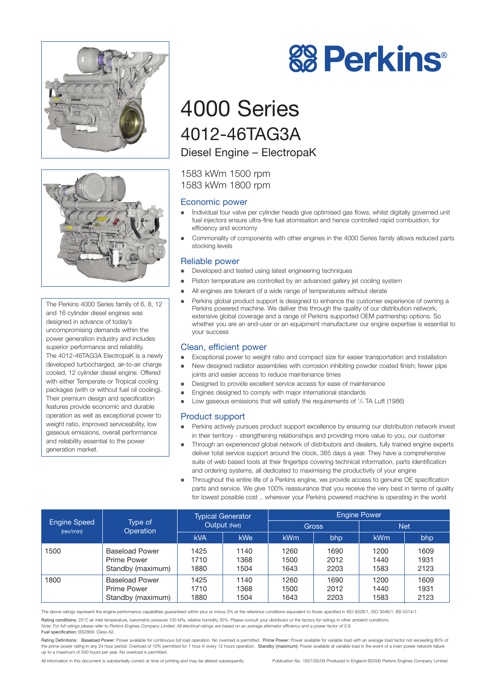



The Perkins 4000 Series family of 6, 8, 12 and 16 cylinder diesel engines was designed in advance of today's uncompromising demands within the power generation industry and includes superior performance and reliability. The 4012-46TAG3A ElectropaK is a newly developed turbocharged, air-to-air charge cooled, 12 cylinder diesel engine. Offered with either Temperate or Tropical cooling packages (with or without fuel oil cooling). Their premium design and specification features provide economic and durable operation as well as exceptional power to weight ratio, improved serviceability, low gaseous emissions, overall performance and reliability essential to the power generation market.



## 4000 Series 4012-46TAG3A Diesel Engine – ElectropaK

1583 kWm 1500 rpm 1583 kWm 1800 rpm

#### Economic power

- Individual four valve per cylinder heads give optimised gas flows, whilst digitally governed unit fuel injectors ensure ultra-fine fuel atomisation and hence controlled rapid combustion, for efficiency and economy
- Commonality of components with other engines in the 4000 Series family allows reduced parts stocking levels

#### Reliable power

- Developed and tested using latest engineering techniques
- **Piston temperature are controlled by an advanced gallery jet cooling system**
- All engines are tolerant of a wide range of temperatures without derate
- Perkins global product support is designed to enhance the customer experience of owning a Perkins powered machine. We deliver this through the quality of our distribution network, extensive global coverage and a range of Perkins supported OEM partnership options. So whether you are an end-user or an equipment manufacturer our engine expertise is essential to your success

#### Clean, efficient power

- Exceptional power to weight ratio and compact size for easier transportation and installation
- New designed radiator assemblies with corrosion inhibiting powder coated finish; fewer pipe joints and easier access to reduce maintenance times
- Designed to provide excellent service access for ease of maintenance
- Engines designed to comply with major international standards
- $\blacksquare$  Low gaseous emissions that will satisfy the requirements of  $1/2$  TA Luft (1986)

#### Product support

- Perkins actively pursues product support excellence by ensuring our distribution network invest in their territory - strengthening relationships and providing more value to you, our customer
- Through an experienced global network of distributors and dealers, fully trained engine experts deliver total service support around the clock, 365 days a year. They have a comprehensive suite of web based tools at their fingertips covering technical information, parts identification and ordering systems, all dedicated to maximising the productivity of your engine
- Throughout the entire life of a Perkins engine, we provide access to genuine OE specification parts and service. We give 100% reassurance that you receive the very best in terms of quality for lowest possible cost .. wherever your Perkins powered machine is operating in the world

|                                  | Type of<br><b>Operation</b> | <b>Typical Generator</b><br>Output (Net) |            | <b>Engine Power</b> |      |            |      |
|----------------------------------|-----------------------------|------------------------------------------|------------|---------------------|------|------------|------|
| <b>Engine Speed</b><br>(rev/min) |                             |                                          |            | <b>Gross</b>        |      | <b>Net</b> |      |
|                                  |                             | <b>kVA</b>                               | <b>kWe</b> | <b>kWm</b>          | bhp  | <b>kWm</b> | bhp  |
| 1500                             | <b>Baseload Power</b>       | 1425                                     | 1140       | 1260                | 1690 | 1200       | 1609 |
|                                  | Prime Power                 | 1710                                     | 1368       | 1500                | 2012 | 1440       | 1931 |
|                                  | Standby (maximum)           | 1880                                     | 1504       | 1643                | 2203 | 1583       | 2123 |
| 1800                             | <b>Baseload Power</b>       | 1425                                     | 1140       | 1260                | 1690 | 1200       | 1609 |
|                                  | Prime Power                 | 1710                                     | 1368       | 1500                | 2012 | 1440       | 1931 |
|                                  | Standby (maximum)           | 1880                                     | 1504       | 1643                | 2203 | 1583       | 2123 |

The above ratings represent the engine performance capabilities guaranteed within plus or minus 3% at the reference conditions equivalent to those specified in ISO 8528/1, ISO 3046/1, BS 5514/1.

Rating conditions: 25°C air inlet temperature, barometric pressure 100 kPa, relative humidity 30%. Please consult your distributor or the factory for ratings in other ambient conditions.

Note: For full ratings please refer to Perkins Engines Company Limited. All electrical ratings are based on an average alternator efficiency and a power factor of 0.8. Fuel specification: BS2869: Class A2.

Rating Definitions: Baseload Power: Power available for continuous full load operation. No overload is permitted. Prime Power: Power available for variable load with an average load factor not exceeding 80% of the prime power rating in any 24 hour period. Overload of 10% permitted for 1 hour in every 12 hours operation. Standby (maximum): Power available at variable load in the event of a main power network failure<br>up to a maxim